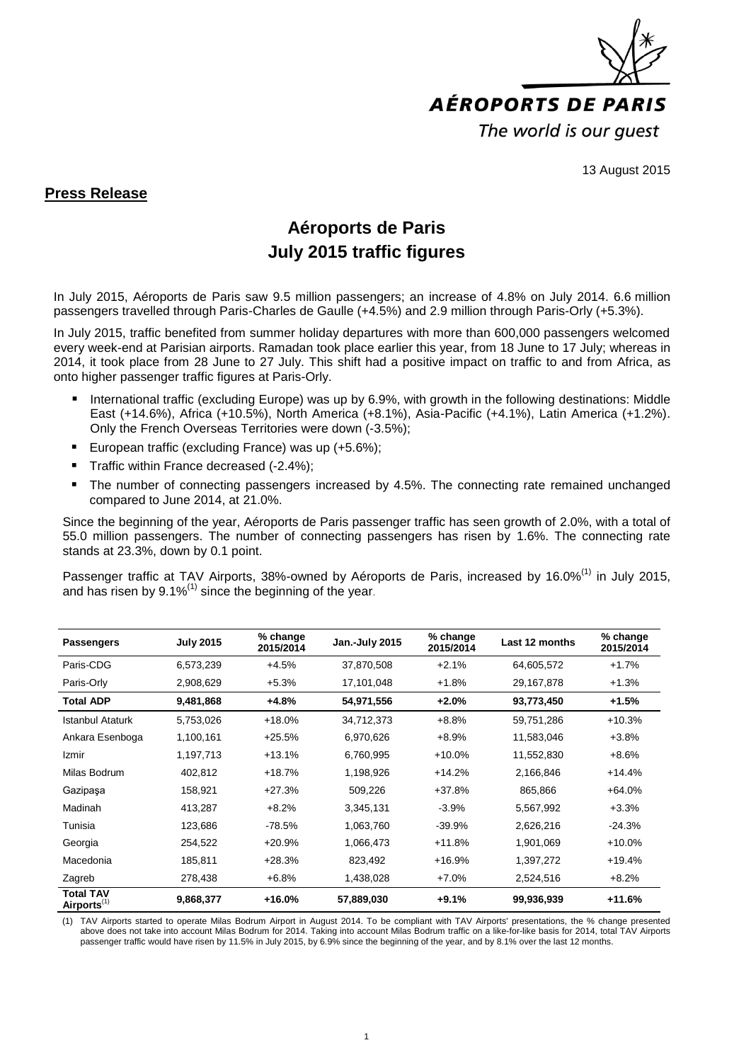

13 August 2015

## **Press Release**

## **Aéroports de Paris July 2015 traffic figures**

In July 2015, Aéroports de Paris saw 9.5 million passengers; an increase of 4.8% on July 2014. 6.6 million passengers travelled through Paris-Charles de Gaulle (+4.5%) and 2.9 million through Paris-Orly (+5.3%).

In July 2015, traffic benefited from summer holiday departures with more than 600,000 passengers welcomed every week-end at Parisian airports. Ramadan took place earlier this year, from 18 June to 17 July; whereas in 2014, it took place from 28 June to 27 July. This shift had a positive impact on traffic to and from Africa, as onto higher passenger traffic figures at Paris-Orly.

- International traffic (excluding Europe) was up by 6.9%, with growth in the following destinations: Middle East (+14.6%), Africa (+10.5%), North America (+8.1%), Asia-Pacific (+4.1%), Latin America (+1.2%). Only the French Overseas Territories were down (-3.5%);
- **European traffic (excluding France) was up (+5.6%);**
- Traffic within France decreased (-2.4%);
- The number of connecting passengers increased by 4.5%. The connecting rate remained unchanged compared to June 2014, at 21.0%.

Since the beginning of the year, Aéroports de Paris passenger traffic has seen growth of 2.0%, with a total of 55.0 million passengers. The number of connecting passengers has risen by 1.6%. The connecting rate stands at 23.3%, down by 0.1 point.

Passenger traffic at TAV Airports, 38%-owned by Aéroports de Paris, increased by 16.0%<sup>(1)</sup> in July 2015, and has risen by  $9.1\%^{(1)}$  since the beginning of the year.

| <b>Passengers</b>                           | <b>July 2015</b> | % change<br>2015/2014 | Jan.-July 2015 | % change<br>2015/2014 | Last 12 months | % change<br>2015/2014 |
|---------------------------------------------|------------------|-----------------------|----------------|-----------------------|----------------|-----------------------|
| Paris-CDG                                   | 6,573,239        | $+4.5%$               | 37,870,508     | $+2.1%$               | 64,605,572     | $+1.7%$               |
| Paris-Orly                                  | 2,908,629        | $+5.3%$               | 17,101,048     | $+1.8%$               | 29,167,878     | $+1.3%$               |
| <b>Total ADP</b>                            | 9,481,868        | +4.8%                 | 54,971,556     | $+2.0%$               | 93,773,450     | $+1.5%$               |
| <b>Istanbul Ataturk</b>                     | 5,753,026        | $+18.0%$              | 34,712,373     | $+8.8%$               | 59,751,286     | $+10.3%$              |
| Ankara Esenboga                             | 1,100,161        | $+25.5%$              | 6,970,626      | $+8.9%$               | 11,583,046     | $+3.8%$               |
| Izmir                                       | 1,197,713        | $+13.1%$              | 6,760,995      | $+10.0%$              | 11,552,830     | $+8.6%$               |
| Milas Bodrum                                | 402.812          | $+18.7%$              | 1,198,926      | $+14.2%$              | 2,166,846      | $+14.4%$              |
| Gazipaşa                                    | 158,921          | $+27.3%$              | 509,226        | $+37.8%$              | 865,866        | $+64.0%$              |
| Madinah                                     | 413,287          | $+8.2%$               | 3,345,131      | $-3.9%$               | 5,567,992      | $+3.3%$               |
| Tunisia                                     | 123,686          | $-78.5%$              | 1,063,760      | $-39.9%$              | 2,626,216      | $-24.3%$              |
| Georgia                                     | 254,522          | $+20.9%$              | 1,066,473      | $+11.8%$              | 1,901,069      | $+10.0%$              |
| Macedonia                                   | 185,811          | $+28.3%$              | 823,492        | $+16.9%$              | 1,397,272      | $+19.4%$              |
| Zagreb                                      | 278,438          | $+6.8%$               | 1,438,028      | $+7.0%$               | 2,524,516      | $+8.2%$               |
| <b>Total TAV</b><br>Airports <sup>(1)</sup> | 9,868,377        | $+16.0%$              | 57,889,030     | $+9.1%$               | 99,936,939     | $+11.6%$              |

(1) TAV Airports started to operate Milas Bodrum Airport in August 2014. To be compliant with TAV Airports' presentations, the % change presented above does not take into account Milas Bodrum for 2014. Taking into account Milas Bodrum traffic on a like-for-like basis for 2014, total TAV Airports passenger traffic would have risen by 11.5% in July 2015, by 6.9% since the beginning of the year, and by 8.1% over the last 12 months.